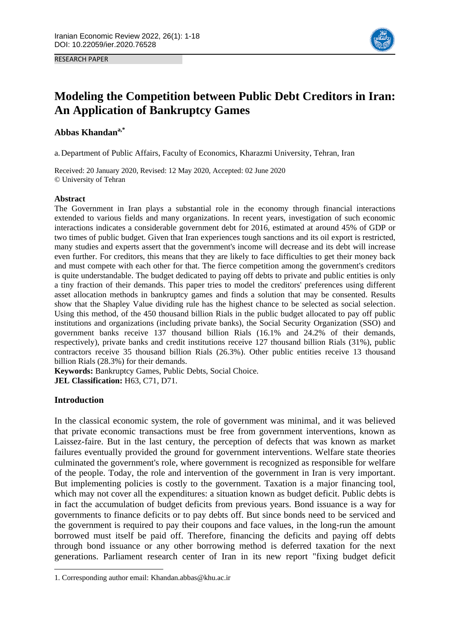RESEARCH PAPER



# **Modeling the Competition between Public Debt Creditors in Iran: An Application of Bankruptcy Games**

# **Abbas Khandana,\*1**

a.Department of Public Affairs, Faculty of Economics, Kharazmi University, Tehran, Iran

Received: 20 January 2020, Revised: 12 May 2020, Accepted: 02 June 2020 © University of Tehran

## **Abstract**

The Government in Iran plays a substantial role in the economy through financial interactions extended to various fields and many organizations. In recent years, investigation of such economic interactions indicates a considerable government debt for 2016, estimated at around 45% of GDP or two times of public budget. Given that Iran experiences tough sanctions and its oil export is restricted, many studies and experts assert that the government's income will decrease and its debt will increase even further. For creditors, this means that they are likely to face difficulties to get their money back and must compete with each other for that. The fierce competition among the government's creditors is quite understandable. The budget dedicated to paying off debts to private and public entities is only a tiny fraction of their demands. This paper tries to model the creditors' preferences using different asset allocation methods in bankruptcy games and finds a solution that may be consented. Results show that the Shapley Value dividing rule has the highest chance to be selected as social selection. Using this method, of the 450 thousand billion Rials in the public budget allocated to pay off public institutions and organizations (including private banks), the Social Security Organization (SSO) and government banks receive 137 thousand billion Rials (16.1% and 24.2% of their demands, respectively), private banks and credit institutions receive 127 thousand billion Rials (31%), public contractors receive 35 thousand billion Rials (26.3%). Other public entities receive 13 thousand billion Rials (28.3%) for their demands.

**Keywords:** Bankruptcy Games, Public Debts, Social Choice.

**JEL Classification:** H63, C71, D71.

## **Introduction**

 $\overline{a}$ 

In the classical economic system, the role of government was minimal, and it was believed that private economic transactions must be free from government interventions, known as Laissez-faire. But in the last century, the perception of defects that was known as market failures eventually provided the ground for government interventions. Welfare state theories culminated the government's role, where government is recognized as responsible for welfare of the people. Today, the role and intervention of the government in Iran is very important. But implementing policies is costly to the government. Taxation is a major financing tool, which may not cover all the expenditures: a situation known as budget deficit. Public debts is in fact the accumulation of budget deficits from previous years. Bond issuance is a way for governments to finance deficits or to pay debts off. But since bonds need to be serviced and the government is required to pay their coupons and face values, in the long-run the amount borrowed must itself be paid off. Therefore, financing the deficits and paying off debts through bond issuance or any other borrowing method is deferred taxation for the next generations. Parliament research center of Iran in its new report "fixing budget deficit

<sup>1.</sup> Corresponding author email: Khandan.abbas@khu.ac.ir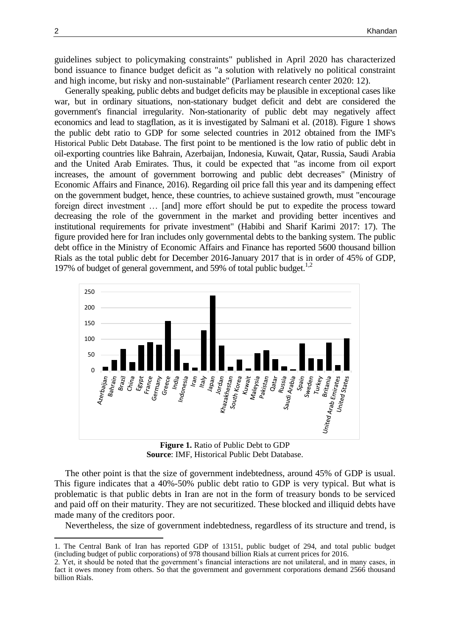guidelines subject to policymaking constraints" published in April 2020 has characterized bond issuance to finance budget deficit as "a solution with relatively no political constraint and high income, but risky and non-sustainable" (Parliament research center 2020: 12).

Generally speaking, public debts and budget deficits may be plausible in exceptional cases like war, but in ordinary situations, non-stationary budget deficit and debt are considered the government's financial irregularity. Non-stationarity of public debt may negatively affect economics and lead to stagflation, as it is investigated by Salmani et al. (2018). Figure 1 shows the public debt ratio to GDP for some selected countries in 2012 obtained from the IMF's Historical Public Debt Database. The first point to be mentioned is the low ratio of public debt in oil-exporting countries like Bahrain, Azerbaijan, Indonesia, Kuwait, Qatar, Russia, Saudi Arabia and the United Arab Emirates. Thus, it could be expected that "as income from oil export increases, the amount of government borrowing and public debt decreases" (Ministry of Economic Affairs and Finance, 2016). Regarding oil price fall this year and its dampening effect on the government budget, hence, these countries, to achieve sustained growth, must "encourage foreign direct investment … [and] more effort should be put to expedite the process toward decreasing the role of the government in the market and providing better incentives and institutional requirements for private investment" (Habibi and Sharif Karimi 2017: 17). The figure provided here for Iran includes only governmental debts to the banking system. The public debt office in the Ministry of Economic Affairs and Finance has reported 5600 thousand billion Rials as the total public debt for December 2016-January 2017 that is in order of 45% of GDP, 197% of budget of general government, and 59% of total public budget.<sup>1,2</sup>



**Figure 1.** Ratio of Public Debt to GDP **Source**: IMF, Historical Public Debt Database.

The other point is that the size of government indebtedness, around 45% of GDP is usual. This figure indicates that a 40%-50% public debt ratio to GDP is very typical. But what is problematic is that public debts in Iran are not in the form of treasury bonds to be serviced and paid off on their maturity. They are not securitized. These blocked and illiquid debts have made many of the creditors poor.

Nevertheless, the size of government indebtedness, regardless of its structure and trend, is

 $\overline{a}$ 

<sup>1.</sup> The Central Bank of Iran has reported GDP of 13151, public budget of 294, and total public budget (including budget of public corporations) of 978 thousand billion Rials at current prices for 2016.

<sup>2.</sup> Yet, it should be noted that the government's financial interactions are not unilateral, and in many cases, in fact it owes money from others. So that the government and government corporations demand 2566 thousand billion Rials.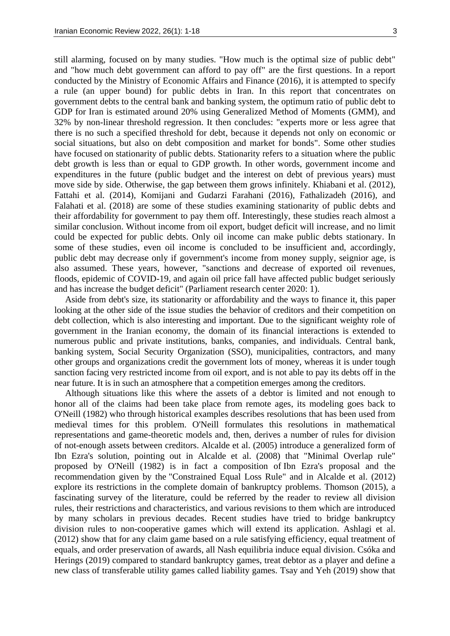still alarming, focused on by many studies. "How much is the optimal size of public debt" and "how much debt government can afford to pay off" are the first questions. In a report conducted by the Ministry of Economic Affairs and Finance (2016), it is attempted to specify a rule (an upper bound) for public debts in Iran. In this report that concentrates on government debts to the central bank and banking system, the optimum ratio of public debt to GDP for Iran is estimated around 20% using Generalized Method of Moments (GMM), and 32% by non-linear threshold regression. It then concludes: "experts more or less agree that there is no such a specified threshold for debt, because it depends not only on economic or social situations, but also on debt composition and market for bonds". Some other studies have focused on stationarity of public debts. Stationarity refers to a situation where the public debt growth is less than or equal to GDP growth. In other words, government income and expenditures in the future (public budget and the interest on debt of previous years) must move side by side. Otherwise, the gap between them grows infinitely. Khiabani et al. (2012), Fattahi et al. (2014), Komijani and Gudarzi Farahani (2016), Fathalizadeh (2016), and Falahati et al. (2018) are some of these studies examining stationarity of public debts and their affordability for government to pay them off. Interestingly, these studies reach almost a similar conclusion. Without income from oil export, budget deficit will increase, and no limit could be expected for public debts. Only oil income can make public debts stationary. In some of these studies, even oil income is concluded to be insufficient and, accordingly, public debt may decrease only if government's income from money supply, seignior age, is also assumed. These years, however, "sanctions and decrease of exported oil revenues, floods, epidemic of COVID-19, and again oil price fall have affected public budget seriously and has increase the budget deficit" (Parliament research center 2020: 1).

Aside from debt's size, its stationarity or affordability and the ways to finance it, this paper looking at the other side of the issue studies the behavior of creditors and their competition on debt collection, which is also interesting and important. Due to the significant weighty role of government in the Iranian economy, the domain of its financial interactions is extended to numerous public and private institutions, banks, companies, and individuals. Central bank, banking system, Social Security Organization (SSO), municipalities, contractors, and many other groups and organizations credit the government lots of money, whereas it is under tough sanction facing very restricted income from oil export, and is not able to pay its debts off in the near future. It is in such an atmosphere that a competition emerges among the creditors.

Although situations like this where the assets of a debtor is limited and not enough to honor all of the claims had been take place from remote ages, its modeling goes back to O'Neill (1982) who through historical examples describes resolutions that has been used from medieval times for this problem. O'Neill formulates this resolutions in mathematical representations and game-theoretic models and, then, derives a number of rules for division of not-enough assets between creditors. Alcalde et al. (2005) introduce a generalized form of Ibn Ezra's solution, pointing out in Alcalde et al. (2008) that "Minimal Overlap rule" proposed by O'Neill (1982) is in fact a composition of Ibn Ezra's proposal and the recommendation given by the "Constrained Equal Loss Rule" and in Alcalde et al. (2012) explore its restrictions in the complete domain of bankruptcy problems. Thomson (2015), a fascinating survey of the literature, could be referred by the reader to review all division rules, their restrictions and characteristics, and various revisions to them which are introduced by many scholars in previous decades. Recent studies have tried to bridge bankruptcy division rules to non-cooperative games which will extend its application. Ashlagi et al. (2012) show that for any claim game based on a rule satisfying efficiency, equal treatment of equals, and order preservation of awards, all Nash equilibria induce equal division. Csóka and Herings (2019) compared to standard bankruptcy games, treat debtor as a player and define a new class of transferable utility games called liability games. Tsay and Yeh (2019) show that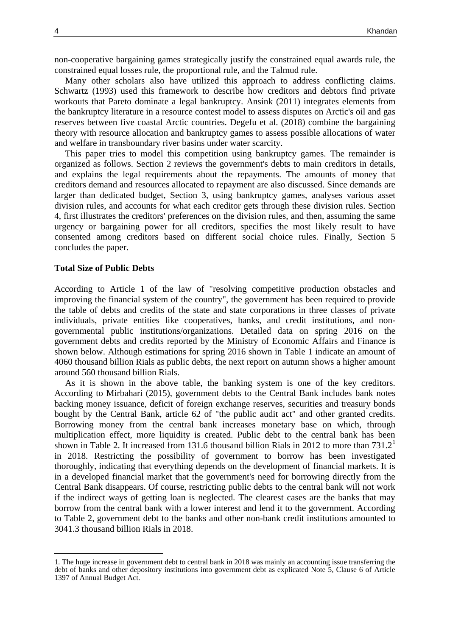non-cooperative bargaining games strategically justify the constrained equal awards rule, the constrained equal losses rule, the proportional rule, and the Talmud rule.

Many other scholars also have utilized this approach to address conflicting claims. Schwartz (1993) used this framework to describe how creditors and debtors find private workouts that Pareto dominate a legal bankruptcy. Ansink (2011) integrates elements from the bankruptcy literature in a resource contest model to assess disputes on Arctic's oil and gas reserves between five coastal Arctic countries. Degefu et al. (2018) combine the bargaining theory with resource allocation and bankruptcy games to assess possible allocations of water and welfare in transboundary river basins under water scarcity.

This paper tries to model this competition using bankruptcy games. The remainder is organized as follows. Section 2 reviews the government's debts to main creditors in details, and explains the legal requirements about the repayments. The amounts of money that creditors demand and resources allocated to repayment are also discussed. Since demands are larger than dedicated budget, Section 3, using bankruptcy games, analyses various asset division rules, and accounts for what each creditor gets through these division rules. Section 4, first illustrates the creditors' preferences on the division rules, and then, assuming the same urgency or bargaining power for all creditors, specifies the most likely result to have consented among creditors based on different social choice rules. Finally, Section 5 concludes the paper.

## **Total Size of Public Debts**

According to Article 1 of the law of "resolving competitive production obstacles and improving the financial system of the country", the government has been required to provide the table of debts and credits of the state and state corporations in three classes of private individuals, private entities like cooperatives, banks, and credit institutions, and nongovernmental public institutions/organizations. Detailed data on spring 2016 on the government debts and credits reported by the Ministry of Economic Affairs and Finance is shown below. Although estimations for spring 2016 shown in Table 1 indicate an amount of 4060 thousand billion Rials as public debts, the next report on autumn shows a higher amount around 560 thousand billion Rials.

As it is shown in the above table, the banking system is one of the key creditors. According to Mirbahari (2015), government debts to the Central Bank includes bank notes backing money issuance, deficit of foreign exchange reserves, securities and treasury bonds bought by the Central Bank, article 62 of "the public audit act" and other granted credits. Borrowing money from the central bank increases monetary base on which, through multiplication effect, more liquidity is created. Public debt to the central bank has been shown in Table 2. It increased from 131.6 thousand billion Rials in 2012 to more than  $731.2<sup>1</sup>$ in 2018. Restricting the possibility of government to borrow has been investigated thoroughly, indicating that everything depends on the development of financial markets. It is in a developed financial market that the government's need for borrowing directly from the Central Bank disappears. Of course, restricting public debts to the central bank will not work if the indirect ways of getting loan is neglected. The clearest cases are the banks that may borrow from the central bank with a lower interest and lend it to the government. According to Table 2, government debt to the banks and other non-bank credit institutions amounted to 3041.3 thousand billion Rials in 2018.

 $\overline{a}$ 

<sup>1.</sup> The huge increase in government debt to central bank in 2018 was mainly an accounting issue transferring the debt of banks and other depository institutions into government debt as explicated Note 5, Clause 6 of Article 1397 of Annual Budget Act.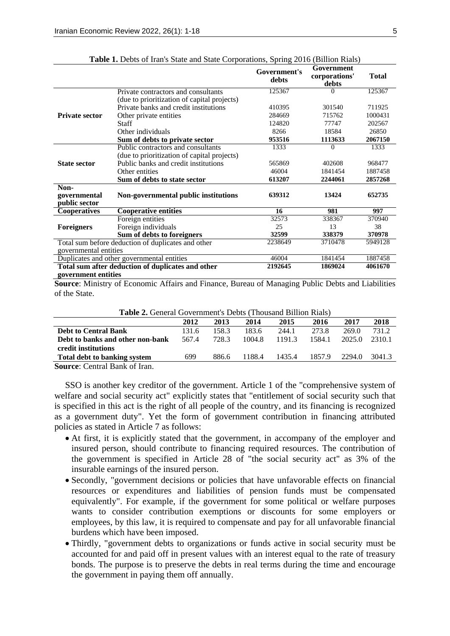|                       |                                                    | Government's<br>debts | Government<br>corporations'<br>debts | <b>Total</b> |
|-----------------------|----------------------------------------------------|-----------------------|--------------------------------------|--------------|
|                       | Private contractors and consultants                | 125367                |                                      | 125367       |
|                       | (due to prioritization of capital projects)        |                       |                                      |              |
|                       | Private banks and credit institutions              | 410395                | 301540                               | 711925       |
| <b>Private sector</b> | Other private entities                             | 284669                | 715762                               | 1000431      |
|                       | Staff                                              | 124820                | 77747                                | 202567       |
|                       | Other individuals                                  | 8266                  | 18584                                | 26850        |
|                       | Sum of debts to private sector                     | 953516                | 1113633                              | 2067150      |
|                       | Public contractors and consultants                 | 1333                  | $\Omega$                             | 1333         |
|                       | (due to prioritization of capital projects)        |                       |                                      |              |
| <b>State sector</b>   | Public banks and credit institutions               | 565869                | 402608                               | 968477       |
|                       | Other entities                                     | 46004                 | 1841454                              | 1887458      |
|                       | Sum of debts to state sector                       | 613207                | 2244061                              | 2857268      |
| Non-                  |                                                    |                       |                                      |              |
| governmental          | Non-governmental public institutions               | 639312                | 13424                                | 652735       |
| public sector         |                                                    |                       |                                      |              |
| <b>Cooperatives</b>   | <b>Cooperative entities</b>                        | 16                    | 981                                  | 997          |
|                       | Foreign entities                                   | 32573                 | 338367                               | 370940       |
| <b>Foreigners</b>     | Foreign individuals                                | 25                    | 13                                   | 38           |
|                       | Sum of debts to foreigners                         | 32599                 | 338379                               | 370978       |
|                       | Total sum before deduction of duplicates and other | 2238649               | 3710478                              | 5949128      |
| governmental entities |                                                    |                       |                                      |              |
|                       | Duplicates and other governmental entities         | 46004                 | 1841454                              | 1887458      |
|                       | Total sum after deduction of duplicates and other  |                       | 1869024                              | 4061670      |
| government entities   |                                                    |                       |                                      |              |

**Table 1.** Debts of Iran's State and State Corporations, Spring 2016 (Billion Rials)

**Source**: Ministry of Economic Affairs and Finance, Bureau of Managing Public Debts and Liabilities of the State.

**Table 2.** General Government's Debts (Thousand Billion Rials)

| $-$ where $-$ , $-$ , $-$ , $-$ , $-$ , $-$ , $-$ , $-$ , $-$ , $-$ , $-$ , $-$ , $-$ , $-$ , $-$ , $-$ , $-$ , $-$ , $-$ , $-$ , $-$ , $-$ , $-$ , $-$ , $-$ , $-$ , $-$ , $-$ , $-$ , $-$ , $-$ , $-$ , $-$ , $-$ , $-$ , |       |       |        |        |        |        |        |
|-----------------------------------------------------------------------------------------------------------------------------------------------------------------------------------------------------------------------------|-------|-------|--------|--------|--------|--------|--------|
|                                                                                                                                                                                                                             | 2012  | 2013  | 2014   | 2015   | 2016   | 2017   | 2018   |
| <b>Debt to Central Bank</b>                                                                                                                                                                                                 | 131.6 | 158.3 | 183.6  | 244.1  | 273.8  | 269.0  | 731.2  |
| Debt to banks and other non-bank                                                                                                                                                                                            | 567.4 | 728.3 | 1004.8 | 1191.3 | 1584.1 | 2025.0 | 2310.1 |
| credit institutions                                                                                                                                                                                                         |       |       |        |        |        |        |        |
| <b>Total debt to banking system</b>                                                                                                                                                                                         | 699   | 886.6 | 1188.4 | 1435.4 | 1857.9 | 2294.0 | 3041.3 |
| <b>Source:</b> Central Bank of Iran                                                                                                                                                                                         |       |       |        |        |        |        |        |

**Source**: Central Bank of Iran.

SSO is another key creditor of the government. Article 1 of the "comprehensive system of welfare and social security act" explicitly states that "entitlement of social security such that is specified in this act is the right of all people of the country, and its financing is recognized as a government duty". Yet the form of government contribution in financing attributed policies as stated in Article 7 as follows:

- At first, it is explicitly stated that the government, in accompany of the employer and insured person, should contribute to financing required resources. The contribution of the government is specified in Article 28 of "the social security act" as 3% of the insurable earnings of the insured person.
- Secondly, "government decisions or policies that have unfavorable effects on financial resources or expenditures and liabilities of pension funds must be compensated equivalently". For example, if the government for some political or welfare purposes wants to consider contribution exemptions or discounts for some employers or employees, by this law, it is required to compensate and pay for all unfavorable financial burdens which have been imposed.
- Thirdly, "government debts to organizations or funds active in social security must be accounted for and paid off in present values with an interest equal to the rate of treasury bonds. The purpose is to preserve the debts in real terms during the time and encourage the government in paying them off annually.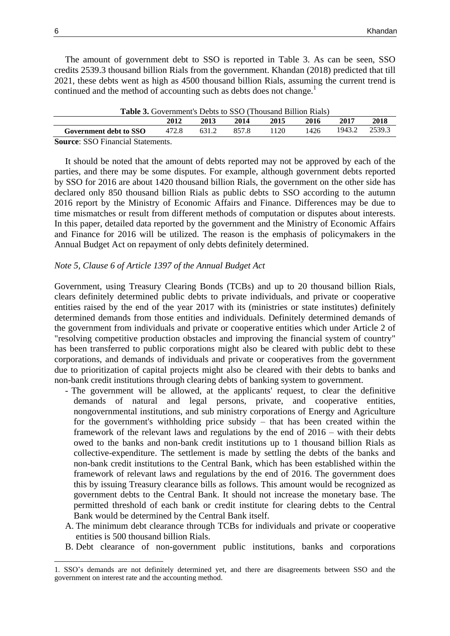The amount of government debt to SSO is reported in Table 3. As can be seen, SSO credits 2539.3 thousand billion Rials from the government. Khandan (2018) predicted that till 2021, these debts went as high as 4500 thousand billion Rials, assuming the current trend is continued and the method of accounting such as debts does not change.<sup>1</sup>

| <b>Table 3.</b> Government's Debts to SSO (Thousand Billion Rials) |       |       |       |      |      |        |        |
|--------------------------------------------------------------------|-------|-------|-------|------|------|--------|--------|
|                                                                    | 2012  | 2013  | 2014  | 2015 | 2016 | 2017   | 2018   |
| Government debt to SSO                                             | 472.8 | 631.2 | 857.8 | 1120 | 1426 | 1943.2 | 2539.3 |
| $\alpha$ $\alpha \alpha$ $\Gamma$ $\gamma$ $\alpha$                |       |       |       |      |      |        |        |

**Table 3.** Government's Debts to SSO (Thousand Billion Rials)

**Source**: SSO Financial Statements.

It should be noted that the amount of debts reported may not be approved by each of the parties, and there may be some disputes. For example, although government debts reported by SSO for 2016 are about 1420 thousand billion Rials, the government on the other side has declared only 850 thousand billion Rials as public debts to SSO according to the autumn 2016 report by the Ministry of Economic Affairs and Finance. Differences may be due to time mismatches or result from different methods of computation or disputes about interests. In this paper, detailed data reported by the government and the Ministry of Economic Affairs and Finance for 2016 will be utilized. The reason is the emphasis of policymakers in the Annual Budget Act on repayment of only debts definitely determined.

#### *Note 5, Clause 6 of Article 1397 of the Annual Budget Act*

Government, using Treasury Clearing Bonds (TCBs) and up to 20 thousand billion Rials, clears definitely determined public debts to private individuals, and private or cooperative entities raised by the end of the year 2017 with its (ministries or state institutes) definitely determined demands from those entities and individuals. Definitely determined demands of the government from individuals and private or cooperative entities which under Article 2 of "resolving competitive production obstacles and improving the financial system of country" has been transferred to public corporations might also be cleared with public debt to these corporations, and demands of individuals and private or cooperatives from the government due to prioritization of capital projects might also be cleared with their debts to banks and non-bank credit institutions through clearing debts of banking system to government.

- The government will be allowed, at the applicants' request, to clear the definitive demands of natural and legal persons, private, and cooperative entities, nongovernmental institutions, and sub ministry corporations of Energy and Agriculture for the government's withholding price subsidy – that has been created within the framework of the relevant laws and regulations by the end of 2016 – with their debts owed to the banks and non-bank credit institutions up to 1 thousand billion Rials as collective-expenditure. The settlement is made by settling the debts of the banks and non-bank credit institutions to the Central Bank, which has been established within the framework of relevant laws and regulations by the end of 2016. The government does this by issuing Treasury clearance bills as follows. This amount would be recognized as government debts to the Central Bank. It should not increase the monetary base. The permitted threshold of each bank or credit institute for clearing debts to the Central Bank would be determined by the Central Bank itself.
- A. The minimum debt clearance through TCBs for individuals and private or cooperative entities is 500 thousand billion Rials.
- B. Debt clearance of non-government public institutions, banks and corporations

 $\overline{a}$ 1. SSO's demands are not definitely determined yet, and there are disagreements between SSO and the government on interest rate and the accounting method.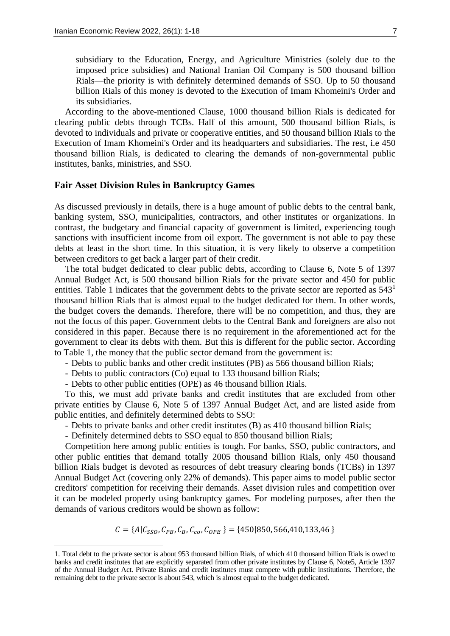subsidiary to the Education, Energy, and Agriculture Ministries (solely due to the imposed price subsidies) and National Iranian Oil Company is 500 thousand billion Rials—the priority is with definitely determined demands of SSO. Up to 50 thousand billion Rials of this money is devoted to the Execution of Imam Khomeini's Order and its subsidiaries.

According to the above-mentioned Clause, 1000 thousand billion Rials is dedicated for clearing public debts through TCBs. Half of this amount, 500 thousand billion Rials, is devoted to individuals and private or cooperative entities, and 50 thousand billion Rials to the Execution of Imam Khomeini's Order and its headquarters and subsidiaries. The rest, i.e 450 thousand billion Rials, is dedicated to clearing the demands of non-governmental public institutes, banks, ministries, and SSO.

# **Fair Asset Division Rules in Bankruptcy Games**

As discussed previously in details, there is a huge amount of public debts to the central bank, banking system, SSO, municipalities, contractors, and other institutes or organizations. In contrast, the budgetary and financial capacity of government is limited, experiencing tough sanctions with insufficient income from oil export. The government is not able to pay these debts at least in the short time. In this situation, it is very likely to observe a competition between creditors to get back a larger part of their credit.

The total budget dedicated to clear public debts, according to Clause 6, Note 5 of 1397 Annual Budget Act, is 500 thousand billion Rials for the private sector and 450 for public entities. Table 1 indicates that the government debts to the private sector are reported as  $543<sup>1</sup>$ thousand billion Rials that is almost equal to the budget dedicated for them. In other words, the budget covers the demands. Therefore, there will be no competition, and thus, they are not the focus of this paper. Government debts to the Central Bank and foreigners are also not considered in this paper. Because there is no requirement in the aforementioned act for the government to clear its debts with them. But this is different for the public sector. According to Table 1, the money that the public sector demand from the government is:

- Debts to public banks and other credit institutes (PB) as 566 thousand billion Rials;

- Debts to public contractors (Co) equal to 133 thousand billion Rials;
- Debts to other public entities (OPE) as 46 thousand billion Rials.

 $\overline{a}$ 

To this, we must add private banks and credit institutes that are excluded from other private entities by Clause 6, Note 5 of 1397 Annual Budget Act, and are listed aside from public entities, and definitely determined debts to SSO:

- Debts to private banks and other credit institutes (B) as 410 thousand billion Rials;

- Definitely determined debts to SSO equal to 850 thousand billion Rials;

Competition here among public entities is tough. For banks, SSO, public contractors, and other public entities that demand totally 2005 thousand billion Rials, only 450 thousand billion Rials budget is devoted as resources of debt treasury clearing bonds (TCBs) in 1397 Annual Budget Act (covering only 22% of demands). This paper aims to model public sector creditors' competition for receiving their demands. Asset division rules and competition over it can be modeled properly using bankruptcy games. For modeling purposes, after then the demands of various creditors would be shown as follow:

 $C = \{A | C_{SSO}, C_{PB}, C_B, C_{co}, C_{OPE}\} = \{450 | 850, 566, 410, 133, 46\}$ 

<sup>1.</sup> Total debt to the private sector is about 953 thousand billion Rials, of which 410 thousand billion Rials is owed to banks and credit institutes that are explicitly separated from other private institutes by Clause 6, Note5, Article 1397 of the Annual Budget Act. Private Banks and credit institutes must compete with public institutions. Therefore, the remaining debt to the private sector is about 543, which is almost equal to the budget dedicated.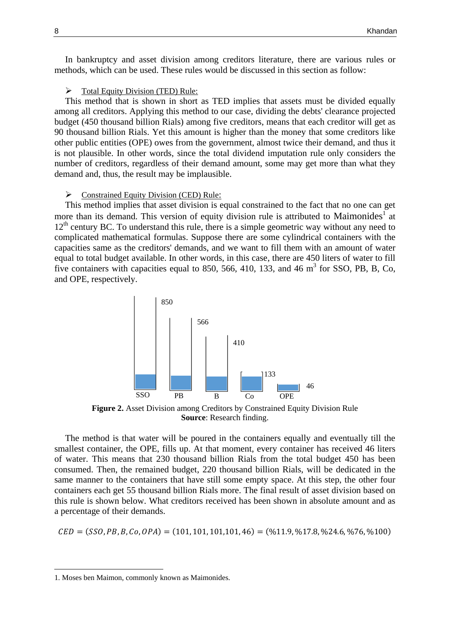In bankruptcy and asset division among creditors literature, there are various rules or methods, which can be used. These rules would be discussed in this section as follow:

 $\triangleright$  Total Equity Division (TED) Rule:

This method that is shown in short as TED implies that assets must be divided equally among all creditors. Applying this method to our case, dividing the debts' clearance projected budget (450 thousand billion Rials) among five creditors, means that each creditor will get as 90 thousand billion Rials. Yet this amount is higher than the money that some creditors like other public entities (OPE) owes from the government, almost twice their demand, and thus it is not plausible. In other words, since the total dividend imputation rule only considers the number of creditors, regardless of their demand amount, some may get more than what they demand and, thus, the result may be implausible.

#### $\triangleright$  Constrained Equity Division (CED) Rule:

This method implies that asset division is equal constrained to the fact that no one can get more than its demand. This version of equity division rule is attributed to Maimonides<sup>1</sup> at  $12<sup>th</sup>$  century BC. To understand this rule, there is a simple geometric way without any need to complicated mathematical formulas. Suppose there are some cylindrical containers with the capacities same as the creditors' demands, and we want to fill them with an amount of water equal to total budget available. In other words, in this case, there are 450 liters of water to fill five containers with capacities equal to 850, 566, 410, 133, and 46  $m<sup>3</sup>$  for SSO, PB, B, Co, and OPE, respectively.



**Figure 2.** Asset Division among Creditors by Constrained Equity Division Rule **Source**: Research finding.

The method is that water will be poured in the containers equally and eventually till the smallest container, the OPE, fills up. At that moment, every container has received 46 liters of water. This means that 230 thousand billion Rials from the total budget 450 has been consumed. Then, the remained budget, 220 thousand billion Rials, will be dedicated in the same manner to the containers that have still some empty space. At this step, the other four containers each get 55 thousand billion Rials more. The final result of asset division based on this rule is shown below. What creditors received has been shown in absolute amount and as a percentage of their demands.

 $LED = (SSO, PB, B, Co, OPA) = (101, 101, 101, 101, 46) = (\frac{1}{10}, \frac{1}{10}, \frac{1}{10}, \frac{1}{20}, \frac{1}{20}, \frac{1}{20}, \frac{1}{20}, \frac{1}{20}, \frac{1}{20}, \frac{1}{20}, \frac{1}{20}, \frac{1}{20}, \frac{1}{20}, \frac{1}{20}, \frac{1}{20}, \frac{1}{20}, \frac{1}{20}, \frac{1}{20}, \frac{1}{20}, \frac{1}{20}, \frac{1}{20}, \frac{1}{20}, \frac{$ 

 $\overline{a}$ 

<sup>1.</sup> Moses ben Maimon, commonly known as Maimonides.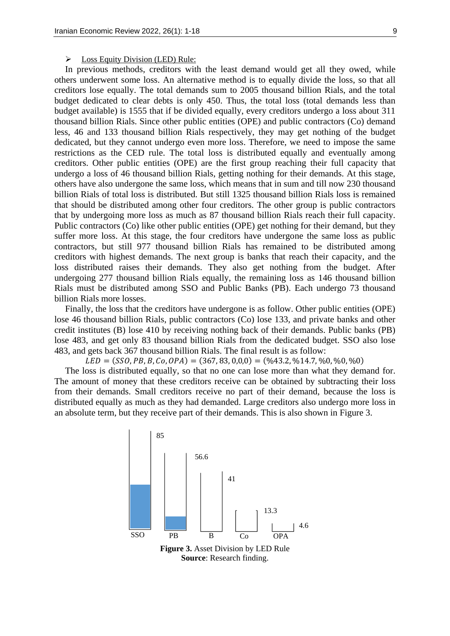#### $\triangleright$  Loss Equity Division (LED) Rule:

In previous methods, creditors with the least demand would get all they owed, while others underwent some loss. An alternative method is to equally divide the loss, so that all creditors lose equally. The total demands sum to 2005 thousand billion Rials, and the total budget dedicated to clear debts is only 450. Thus, the total loss (total demands less than budget available) is 1555 that if be divided equally, every creditors undergo a loss about 311 thousand billion Rials. Since other public entities (OPE) and public contractors (Co) demand less, 46 and 133 thousand billion Rials respectively, they may get nothing of the budget dedicated, but they cannot undergo even more loss. Therefore, we need to impose the same restrictions as the CED rule. The total loss is distributed equally and eventually among creditors. Other public entities (OPE) are the first group reaching their full capacity that undergo a loss of 46 thousand billion Rials, getting nothing for their demands. At this stage, others have also undergone the same loss, which means that in sum and till now 230 thousand billion Rials of total loss is distributed. But still 1325 thousand billion Rials loss is remained that should be distributed among other four creditors. The other group is public contractors that by undergoing more loss as much as 87 thousand billion Rials reach their full capacity. Public contractors (Co) like other public entities (OPE) get nothing for their demand, but they suffer more loss. At this stage, the four creditors have undergone the same loss as public contractors, but still 977 thousand billion Rials has remained to be distributed among creditors with highest demands. The next group is banks that reach their capacity, and the loss distributed raises their demands. They also get nothing from the budget. After undergoing 277 thousand billion Rials equally, the remaining loss as 146 thousand billion Rials must be distributed among SSO and Public Banks (PB). Each undergo 73 thousand billion Rials more losses.

Finally, the loss that the creditors have undergone is as follow. Other public entities (OPE) lose 46 thousand billion Rials, public contractors (Co) lose 133, and private banks and other credit institutes (B) lose 410 by receiving nothing back of their demands. Public banks (PB) lose 483, and get only 83 thousand billion Rials from the dedicated budget. SSO also lose 483, and gets back 367 thousand billion Rials. The final result is as follow:

 $LED = (SSO, PB, B, Co, OPA) = (367, 83, 0, 0, 0) = (\frac{0}{43.2}, \frac{0}{14.7}, \frac{0}{0}, \frac{0}{0}, \frac{0}{0})$ 

The loss is distributed equally, so that no one can lose more than what they demand for. The amount of money that these creditors receive can be obtained by subtracting their loss from their demands. Small creditors receive no part of their demand, because the loss is distributed equally as much as they had demanded. Large creditors also undergo more loss in an absolute term, but they receive part of their demands. This is also shown in Figure 3.



**Source**: Research finding.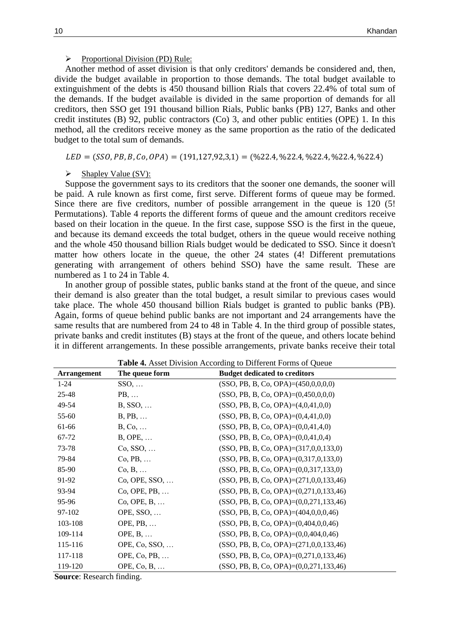## $\triangleright$  Proportional Division (PD) Rule:

Another method of asset division is that only creditors' demands be considered and, then, divide the budget available in proportion to those demands. The total budget available to extinguishment of the debts is 450 thousand billion Rials that covers 22.4% of total sum of the demands. If the budget available is divided in the same proportion of demands for all creditors, then SSO get 191 thousand billion Rials, Public banks (PB) 127, Banks and other credit institutes (B) 92, public contractors (Co) 3, and other public entities (OPE) 1. In this method, all the creditors receive money as the same proportion as the ratio of the dedicated budget to the total sum of demands.

 $LED = (SSO, PB, B, Co, OPA) = (191, 127, 92, 3, 1) = (\frac{622.4}{622.4}, \frac{622.4}{622.4}, \frac{622.4}{622.4})$ 

#### $\triangleright$  Shapley Value (SV):

Suppose the government says to its creditors that the sooner one demands, the sooner will be paid. A rule known as first come, first serve. Different forms of queue may be formed. Since there are five creditors, number of possible arrangement in the queue is 120 (5! Permutations). Table 4 reports the different forms of queue and the amount creditors receive based on their location in the queue. In the first case, suppose SSO is the first in the queue, and because its demand exceeds the total budget, others in the queue would receive nothing and the whole 450 thousand billion Rials budget would be dedicated to SSO. Since it doesn't matter how others locate in the queue, the other 24 states (4! Different premutations generating with arrangement of others behind SSO) have the same result. These are numbered as 1 to 24 in Table 4.

In another group of possible states, public banks stand at the front of the queue, and since their demand is also greater than the total budget, a result similar to previous cases would take place. The whole 450 thousand billion Rials budget is granted to public banks (PB). Again, forms of queue behind public banks are not important and 24 arrangements have the same results that are numbered from 24 to 48 in Table 4. In the third group of possible states, private banks and credit institutes (B) stays at the front of the queue, and others locate behind it in different arrangements. In these possible arrangements, private banks receive their total

| <b>Arrangement</b> | The queue form              | <b>Budget dedicated to creditors</b>           |
|--------------------|-----------------------------|------------------------------------------------|
| $1 - 24$           | $SSO, \ldots$               | $(SSO, PB, B, Co, OPA) = (450, 0, 0, 0, 0)$    |
| 25-48              | $PB, \ldots$                | $(SSO, PB, B, Co, OPA) = (0,450,0,0,0)$        |
| 49-54              | $B, SSO, \ldots$            | $(SSO, PB, B, Co, OPA) = (4,0,41,0,0)$         |
| 55-60              | $B, PB, \ldots$             | $(SSO, PB, B, Co, OPA) = (0,4,41,0,0)$         |
| 61-66              | $B, Co, \ldots$             | $(SSO, PB, B, Co, OPA) = (0,0,41,4,0)$         |
| 67-72              | $B, OPE, \ldots$            | $(SSO, PB, B, Co, OPA) = (0,0,41,0,4)$         |
| 73-78              | $Co, SSO, \ldots$           | $(SSO, PB, B, Co, OPA) = (317, 0, 0, 133, 0)$  |
| 79-84              | $Co, PB, \ldots$            | $(SSO, PB, B, Co, OPA) = (0, 317, 0, 133, 0)$  |
| 85-90              | $Co, B, \ldots$             | $(SSO, PB, B, Co, OPA) = (0,0,317,133,0)$      |
| 91-92              | $Co, OPE, SSO, \ldots$      | $(SSO, PB, B, Co, OPA) = (271, 0, 0, 133, 46)$ |
| 93-94              | Co, OPE, PB,                | $(SSO, PB, B, Co, OPA) = (0,271,0,133,46)$     |
| 95-96              | $Co, OPE, B, \ldots$        | $(SSO, PB, B, Co, OPA) = (0,0,271,133,46)$     |
| 97-102             | OPE, SSO,                   | $(SSO, PB, B, Co, OPA) = (404, 0, 0, 0, 46)$   |
| 103-108            | OPE, $PB$ ,                 | $(SSO, PB, B, Co, OPA) = (0,404,0,0,46)$       |
| 109-114            | OPE, $B, \ldots$            | $(SSO, PB, B, Co, OPA) = (0,0,404,0,46)$       |
| 115-116            | OPE, $Co$ , $SSO$ , $\dots$ | $(SSO, PB, B, Co, OPA) = (271, 0, 0, 133, 46)$ |
| 117-118            | OPE, Co, PB,                | $(SSO, PB, B, Co, OPA) = (0, 271, 0, 133, 46)$ |
| 119-120            | OPE, $Co, B, \ldots$        | $(SSO, PB, B, Co, OPA) = (0,0,271,133,46)$     |

**Table 4.** Asset Division According to Different Forms of Queue

**Source**: Research finding.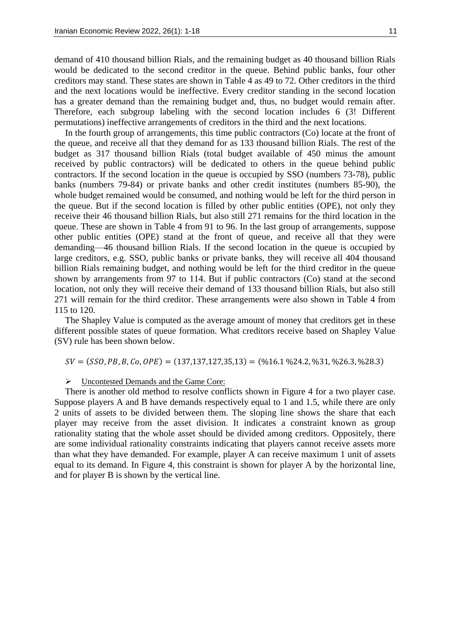demand of 410 thousand billion Rials, and the remaining budget as 40 thousand billion Rials would be dedicated to the second creditor in the queue. Behind public banks, four other creditors may stand. These states are shown in Table 4 as 49 to 72. Other creditors in the third and the next locations would be ineffective. Every creditor standing in the second location has a greater demand than the remaining budget and, thus, no budget would remain after. Therefore, each subgroup labeling with the second location includes 6 (3! Different permutations) ineffective arrangements of creditors in the third and the next locations.

In the fourth group of arrangements, this time public contractors (Co) locate at the front of the queue, and receive all that they demand for as 133 thousand billion Rials. The rest of the budget as 317 thousand billion Rials (total budget available of 450 minus the amount received by public contractors) will be dedicated to others in the queue behind public contractors. If the second location in the queue is occupied by SSO (numbers 73-78), public banks (numbers 79-84) or private banks and other credit institutes (numbers 85-90), the whole budget remained would be consumed, and nothing would be left for the third person in the queue. But if the second location is filled by other public entities (OPE), not only they receive their 46 thousand billion Rials, but also still 271 remains for the third location in the queue. These are shown in Table 4 from 91 to 96. In the last group of arrangements, suppose other public entities (OPE) stand at the front of queue, and receive all that they were demanding—46 thousand billion Rials. If the second location in the queue is occupied by large creditors, e.g. SSO, public banks or private banks, they will receive all 404 thousand billion Rials remaining budget, and nothing would be left for the third creditor in the queue shown by arrangements from 97 to 114. But if public contractors (Co) stand at the second location, not only they will receive their demand of 133 thousand billion Rials, but also still 271 will remain for the third creditor. These arrangements were also shown in Table 4 from 115 to 120.

The Shapley Value is computed as the average amount of money that creditors get in these different possible states of queue formation. What creditors receive based on Shapley Value (SV) rule has been shown below.

 $SV = (SSO, PB, B, Co, OPE) = (137,137,127,35,13) = (\frac{0}{16.1} \cdot \frac{0}{24.2}, \frac{0}{31}, \frac{0}{26.3}, \frac{0}{28.3})$ 

Uncontested Demands and the Game Core:

There is another old method to resolve conflicts shown in Figure 4 for a two player case. Suppose players A and B have demands respectively equal to 1 and 1.5, while there are only 2 units of assets to be divided between them. The sloping line shows the share that each player may receive from the asset division. It indicates a constraint known as group rationality stating that the whole asset should be divided among creditors. Oppositely, there are some individual rationality constraints indicating that players cannot receive assets more than what they have demanded. For example, player A can receive maximum 1 unit of assets equal to its demand. In Figure 4, this constraint is shown for player A by the horizontal line, and for player B is shown by the vertical line.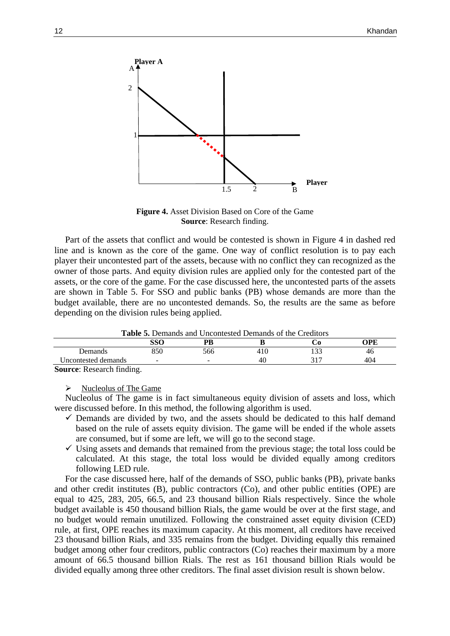

**Figure 4.** Asset Division Based on Core of the Game **Source**: Research finding.

Part of the assets that conflict and would be contested is shown in Figure 4 in dashed red line and is known as the core of the game. One way of conflict resolution is to pay each player their uncontested part of the assets, because with no conflict they can recognized as the owner of those parts. And equity division rules are applied only for the contested part of the assets, or the core of the game. For the case discussed here, the uncontested parts of the assets are shown in Table 5. For SSO and public banks (PB) whose demands are more than the budget available, there are no uncontested demands. So, the results are the same as before depending on the division rules being applied.

**Table 5.** Demands and Uncontested Demands of the Creditors

| Tuble of Demands and Cheshtested Demands of the Cleanors |     |                          |      |       |     |
|----------------------------------------------------------|-----|--------------------------|------|-------|-----|
|                                                          | SSO |                          |      |       | OPE |
| Demands                                                  | 350 | 566                      | 41 U | 1 J J | 46  |
| Jncontested demands                                      | -   | $\overline{\phantom{0}}$ | 40   |       | 404 |
| $\sim$<br>$-$<br>$\sim$<br>$\sim$                        |     |                          |      |       |     |

**Source**: Research finding.

 $\triangleright$  Nucleolus of The Game

Nucleolus of The game is in fact simultaneous equity division of assets and loss, which were discussed before. In this method, the following algorithm is used.

- $\checkmark$  Demands are divided by two, and the assets should be dedicated to this half demand based on the rule of assets equity division. The game will be ended if the whole assets are consumed, but if some are left, we will go to the second stage.
- $\checkmark$  Using assets and demands that remained from the previous stage; the total loss could be calculated. At this stage, the total loss would be divided equally among creditors following LED rule.

For the case discussed here, half of the demands of SSO, public banks (PB), private banks and other credit institutes (B), public contractors (Co), and other public entities (OPE) are equal to 425, 283, 205, 66.5, and 23 thousand billion Rials respectively. Since the whole budget available is 450 thousand billion Rials, the game would be over at the first stage, and no budget would remain unutilized. Following the constrained asset equity division (CED) rule, at first, OPE reaches its maximum capacity. At this moment, all creditors have received 23 thousand billion Rials, and 335 remains from the budget. Dividing equally this remained budget among other four creditors, public contractors (Co) reaches their maximum by a more amount of 66.5 thousand billion Rials. The rest as 161 thousand billion Rials would be divided equally among three other creditors. The final asset division result is shown below.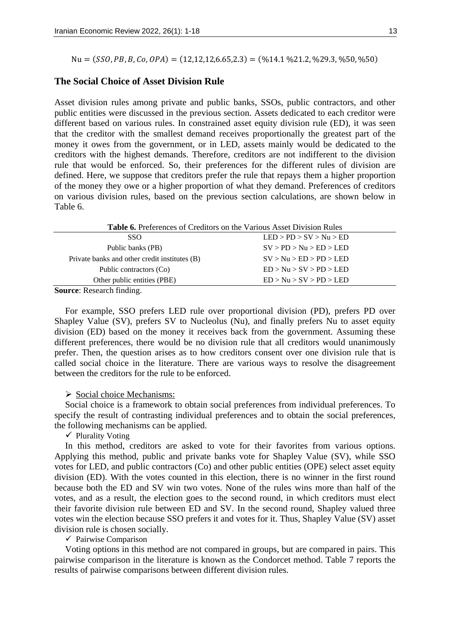$Nu = (SSO, PB, B, Co, OPA) = (12, 12, 12, 6.65, 2.3) = (%14.1 %21.2, %29.3, %50, %50)$ 

# **The Social Choice of Asset Division Rule**

Asset division rules among private and public banks, SSOs, public contractors, and other public entities were discussed in the previous section. Assets dedicated to each creditor were different based on various rules. In constrained asset equity division rule (ED), it was seen that the creditor with the smallest demand receives proportionally the greatest part of the money it owes from the government, or in LED, assets mainly would be dedicated to the creditors with the highest demands. Therefore, creditors are not indifferent to the division rule that would be enforced. So, their preferences for the different rules of division are defined. Here, we suppose that creditors prefer the rule that repays them a higher proportion of the money they owe or a higher proportion of what they demand. Preferences of creditors on various division rules, based on the previous section calculations, are shown below in Table 6.

| <b>Table 6.</b> Preferences of Creditors on the Various Asset Division Rules |                         |  |  |  |  |
|------------------------------------------------------------------------------|-------------------------|--|--|--|--|
| SSO.                                                                         | LED > PD > SV > Nu > ED |  |  |  |  |
| Public banks (PB)                                                            | SV > PD > Nu > ED > LED |  |  |  |  |
| Private banks and other credit institutes (B)                                | SV > Nu > ED > PD > LED |  |  |  |  |
| Public contractors (Co)                                                      | ED > Nu > SV > PD > LED |  |  |  |  |
| Other public entities (PBE)                                                  | ED > Nu > SV > PD > LED |  |  |  |  |
|                                                                              |                         |  |  |  |  |

**Source**: Research finding.

For example, SSO prefers LED rule over proportional division (PD), prefers PD over Shapley Value (SV), prefers SV to Nucleolus (Nu), and finally prefers Nu to asset equity division (ED) based on the money it receives back from the government. Assuming these different preferences, there would be no division rule that all creditors would unanimously prefer. Then, the question arises as to how creditors consent over one division rule that is called social choice in the literature. There are various ways to resolve the disagreement between the creditors for the rule to be enforced.

### $\triangleright$  Social choice Mechanisms:

Social choice is a framework to obtain social preferences from individual preferences. To specify the result of contrasting individual preferences and to obtain the social preferences, the following mechanisms can be applied.

 $\checkmark$  Plurality Voting

In this method, creditors are asked to vote for their favorites from various options. Applying this method, public and private banks vote for Shapley Value (SV), while SSO votes for LED, and public contractors (Co) and other public entities (OPE) select asset equity division (ED). With the votes counted in this election, there is no winner in the first round because both the ED and SV win two votes. None of the rules wins more than half of the votes, and as a result, the election goes to the second round, in which creditors must elect their favorite division rule between ED and SV. In the second round, Shapley valued three votes win the election because SSO prefers it and votes for it. Thus, Shapley Value (SV) asset division rule is chosen socially.

 $\checkmark$  Pairwise Comparison

Voting options in this method are not compared in groups, but are compared in pairs. This pairwise comparison in the literature is known as the Condorcet method. Table 7 reports the results of pairwise comparisons between different division rules.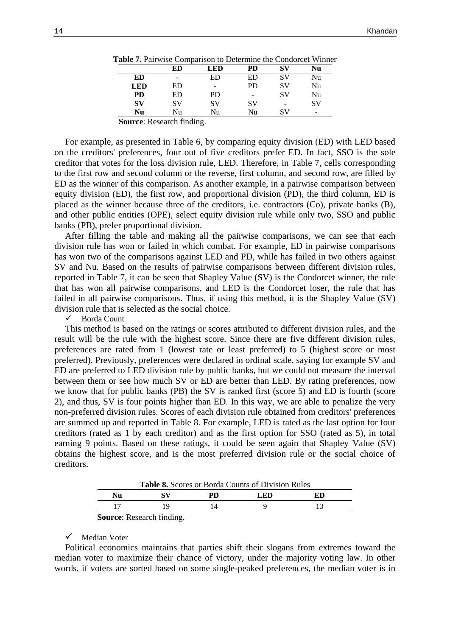|             | ED | <b>LED</b> | PD                       | SV                           | Nu |
|-------------|----|------------|--------------------------|------------------------------|----|
| ED          | -  | ED         | ED                       | SV                           | Nu |
| <b>LED</b>  | ED | -          | <b>PD</b>                | SV                           | Nu |
| <b>PD</b>   | ED | PD.        | $\overline{\phantom{0}}$ | SV                           | Nu |
| $S_{\rm V}$ | SV | <b>SV</b>  | SV                       | $\qquad \qquad \blacksquare$ | SV |
| Nu          | Nu | Nu         | Nu                       | SV                           | -  |

**Table 7.** Pairwise Comparison to Determine the Condorcet Winner

**Source**: Research finding.

For example, as presented in Table 6, by comparing equity division (ED) with LED based on the creditors' preferences, four out of five creditors prefer ED. In fact, SSO is the sole creditor that votes for the loss division rule, LED. Therefore, in Table 7, cells corresponding to the first row and second column or the reverse, first column, and second row, are filled by ED as the winner of this comparison. As another example, in a pairwise comparison between equity division (ED), the first row, and proportional division (PD), the third column, ED is placed as the winner because three of the creditors, i.e. contractors (Co), private banks (B), and other public entities (OPE), select equity division rule while only two, SSO and public banks (PB), prefer proportional division.

After filling the table and making all the pairwise comparisons, we can see that each division rule has won or failed in which combat. For example, ED in pairwise comparisons has won two of the comparisons against LED and PD, while has failed in two others against SV and Nu. Based on the results of pairwise comparisons between different division rules, reported in Table 7, it can be seen that Shapley Value (SV) is the Condorcet winner, the rule that has won all pairwise comparisons, and LED is the Condorcet loser, the rule that has failed in all pairwise comparisons. Thus, if using this method, it is the Shapley Value (SV) division rule that is selected as the social choice.

Borda Count

This method is based on the ratings or scores attributed to different division rules, and the result will be the rule with the highest score. Since there are five different division rules, preferences are rated from 1 (lowest rate or least preferred) to 5 (highest score or most preferred). Previously, preferences were declared in ordinal scale, saying for example SV and ED are preferred to LED division rule by public banks, but we could not measure the interval between them or see how much SV or ED are better than LED. By rating preferences, now we know that for public banks (PB) the SV is ranked first (score 5) and ED is fourth (score 2), and thus, SV is four points higher than ED. In this way, we are able to penalize the very non-preferred division rules. Scores of each division rule obtained from creditors' preferences are summed up and reported in Table 8. For example, LED is rated as the last option for four creditors (rated as 1 by each creditor) and as the first option for SSO (rated as 5), in total earning 9 points. Based on these ratings, it could be seen again that Shapley Value (SV) obtains the highest score, and is the most preferred division rule or the social choice of creditors.

| <b>Table 8.</b> Scores or Borda Counts of Division Rules |                      |    |     |    |  |  |
|----------------------------------------------------------|----------------------|----|-----|----|--|--|
| Nu                                                       |                      | PD | LED | ED |  |  |
|                                                          |                      |    |     |    |  |  |
|                                                          | $1 \quad \alpha$ $1$ |    |     |    |  |  |

**Source**: Research finding.

#### $\checkmark$  Median Voter

Political economics maintains that parties shift their slogans from extremes toward the median voter to maximize their chance of victory, under the majority voting law. In other words, if voters are sorted based on some single-peaked preferences, the median voter is in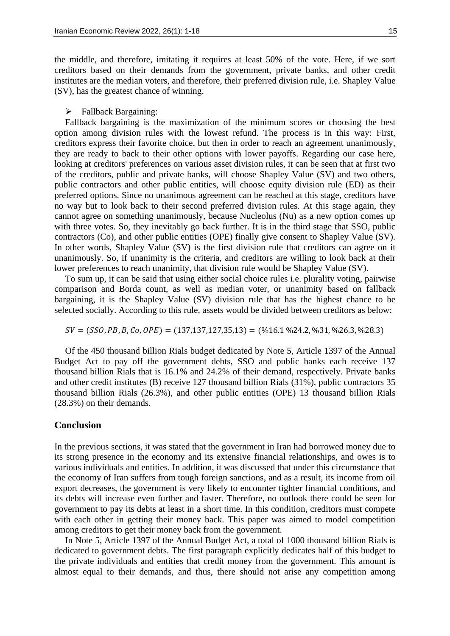the middle, and therefore, imitating it requires at least 50% of the vote. Here, if we sort creditors based on their demands from the government, private banks, and other credit institutes are the median voters, and therefore, their preferred division rule, i.e. Shapley Value (SV), has the greatest chance of winning.

## > Fallback Bargaining:

Fallback bargaining is the maximization of the minimum scores or choosing the best option among division rules with the lowest refund. The process is in this way: First, creditors express their favorite choice, but then in order to reach an agreement unanimously, they are ready to back to their other options with lower payoffs. Regarding our case here, looking at creditors' preferences on various asset division rules, it can be seen that at first two of the creditors, public and private banks, will choose Shapley Value (SV) and two others, public contractors and other public entities, will choose equity division rule (ED) as their preferred options. Since no unanimous agreement can be reached at this stage, creditors have no way but to look back to their second preferred division rules. At this stage again, they cannot agree on something unanimously, because Nucleolus (Nu) as a new option comes up with three votes. So, they inevitably go back further. It is in the third stage that SSO, public contractors (Co), and other public entities (OPE) finally give consent to Shapley Value (SV). In other words, Shapley Value (SV) is the first division rule that creditors can agree on it unanimously. So, if unanimity is the criteria, and creditors are willing to look back at their lower preferences to reach unanimity, that division rule would be Shapley Value (SV).

To sum up, it can be said that using either social choice rules i.e. plurality voting, pairwise comparison and Borda count, as well as median voter, or unanimity based on fallback bargaining, it is the Shapley Value (SV) division rule that has the highest chance to be selected socially. According to this rule, assets would be divided between creditors as below:

 $SV = (SSO, PB, B, Co, OPE) = (137,137,127,35,13) = (%16.1%24.2,%31,%26.3,%28.3)$ 

Of the 450 thousand billion Rials budget dedicated by Note 5, Article 1397 of the Annual Budget Act to pay off the government debts, SSO and public banks each receive 137 thousand billion Rials that is 16.1% and 24.2% of their demand, respectively. Private banks and other credit institutes (B) receive 127 thousand billion Rials (31%), public contractors 35 thousand billion Rials (26.3%), and other public entities (OPE) 13 thousand billion Rials (28.3%) on their demands.

# **Conclusion**

In the previous sections, it was stated that the government in Iran had borrowed money due to its strong presence in the economy and its extensive financial relationships, and owes is to various individuals and entities. In addition, it was discussed that under this circumstance that the economy of Iran suffers from tough foreign sanctions, and as a result, its income from oil export decreases, the government is very likely to encounter tighter financial conditions, and its debts will increase even further and faster. Therefore, no outlook there could be seen for government to pay its debts at least in a short time. In this condition, creditors must compete with each other in getting their money back. This paper was aimed to model competition among creditors to get their money back from the government.

In Note 5, Article 1397 of the Annual Budget Act, a total of 1000 thousand billion Rials is dedicated to government debts. The first paragraph explicitly dedicates half of this budget to the private individuals and entities that credit money from the government. This amount is almost equal to their demands, and thus, there should not arise any competition among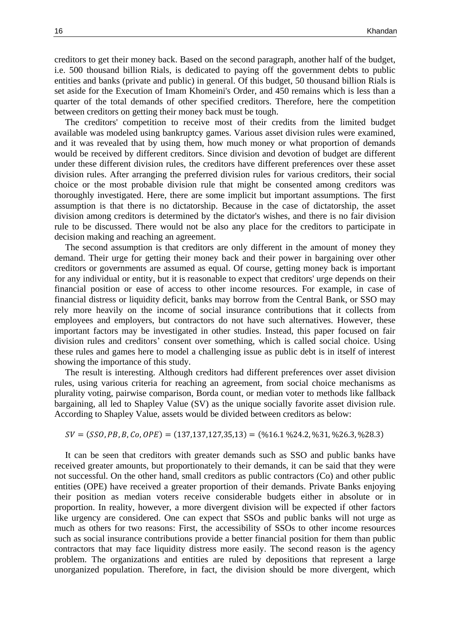creditors to get their money back. Based on the second paragraph, another half of the budget, i.e. 500 thousand billion Rials, is dedicated to paying off the government debts to public entities and banks (private and public) in general. Of this budget, 50 thousand billion Rials is set aside for the Execution of Imam Khomeini's Order, and 450 remains which is less than a quarter of the total demands of other specified creditors. Therefore, here the competition between creditors on getting their money back must be tough.

The creditors' competition to receive most of their credits from the limited budget available was modeled using bankruptcy games. Various asset division rules were examined, and it was revealed that by using them, how much money or what proportion of demands would be received by different creditors. Since division and devotion of budget are different under these different division rules, the creditors have different preferences over these asset division rules. After arranging the preferred division rules for various creditors, their social choice or the most probable division rule that might be consented among creditors was thoroughly investigated. Here, there are some implicit but important assumptions. The first assumption is that there is no dictatorship. Because in the case of dictatorship, the asset division among creditors is determined by the dictator's wishes, and there is no fair division rule to be discussed. There would not be also any place for the creditors to participate in decision making and reaching an agreement.

The second assumption is that creditors are only different in the amount of money they demand. Their urge for getting their money back and their power in bargaining over other creditors or governments are assumed as equal. Of course, getting money back is important for any individual or entity, but it is reasonable to expect that creditors' urge depends on their financial position or ease of access to other income resources. For example, in case of financial distress or liquidity deficit, banks may borrow from the Central Bank, or SSO may rely more heavily on the income of social insurance contributions that it collects from employees and employers, but contractors do not have such alternatives. However, these important factors may be investigated in other studies. Instead, this paper focused on fair division rules and creditors' consent over something, which is called social choice. Using these rules and games here to model a challenging issue as public debt is in itself of interest showing the importance of this study.

The result is interesting. Although creditors had different preferences over asset division rules, using various criteria for reaching an agreement, from social choice mechanisms as plurality voting, pairwise comparison, Borda count, or median voter to methods like fallback bargaining, all led to Shapley Value (SV) as the unique socially favorite asset division rule. According to Shapley Value, assets would be divided between creditors as below:

$$
SV = (SSO, PB, B, Co, OPE) = (137, 137, 127, 35, 13) = (\%16.1 \%24.2, \%31, \%26.3, \%28.3)
$$

It can be seen that creditors with greater demands such as SSO and public banks have received greater amounts, but proportionately to their demands, it can be said that they were not successful. On the other hand, small creditors as public contractors (Co) and other public entities (OPE) have received a greater proportion of their demands. Private Banks enjoying their position as median voters receive considerable budgets either in absolute or in proportion. In reality, however, a more divergent division will be expected if other factors like urgency are considered. One can expect that SSOs and public banks will not urge as much as others for two reasons: First, the accessibility of SSOs to other income resources such as social insurance contributions provide a better financial position for them than public contractors that may face liquidity distress more easily. The second reason is the agency problem. The organizations and entities are ruled by depositions that represent a large unorganized population. Therefore, in fact, the division should be more divergent, which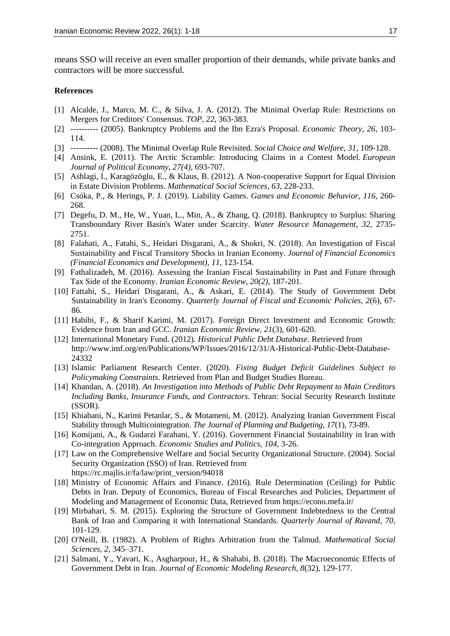means SSO will receive an even smaller proportion of their demands, while private banks and contractors will be more successful.

#### **References**

- [1] Alcalde, J., Marco, M. C., & Silva, J. A. (2012). The Minimal Overlap Rule: Restrictions on Mergers for Creditors' Consensus. *TOP, 22*, 363-383.
- [2] ---------- (2005). Bankruptcy Problems and the Ibn Ezra's Proposal. *Economic Theory, 26*, 103- 114.
- [3] ---------- (2008). The Minimal Overlap Rule Revisited. *Social Choice and Welfare, 31*, 109-128.
- [4] Ansink, E. (2011). The Arctic Scramble: Introducing Claims in a Contest Model. *European Journal of Political Economy, 27(4),* 693-707.
- [5] Ashlagi, I., Karagözöglu, E., & Klaus, B. (2012). A Non-cooperative Support for Equal Division in Estate Division Problems. *Mathematical Social Sciences, 63*, 228-233.
- [6] Csóka, P., & Herings, P. J. (2019). Liability Games. *Games and Economic Behavior, 116*, 260- 268.
- [7] Degefu, D. M., He, W., Yuan, L., Min, A., & Zhang, Q. (2018). Bankruptcy to Surplus: Sharing Transboundary River Basin's Water under Scarcity. *Water Resource Management, 32*, 2735- 2751.
- [8] Falahati, A., Fatahi, S., Heidari Disgarani, A., & Shokri, N. (2018). An Investigation of Fiscal Sustainability and Fiscal Transitory Shocks in Iranian Economy. *Journal of Financial Economics (Financial Economics and Development), 11*, 123-154.
- [9] Fathalizadeh, M. (2016). Assessing the Iranian Fiscal Sustainability in Past and Future through Tax Side of the Economy. *Iranian Economic Review, 20(2),* 187-201.
- [10] Fattahi, S., Heidari Disgarani, A., & Askari, E. (2014). The Study of Government Debt Sustainability in Iran's Economy. *Quarterly Journal of Fiscal and Economic Policies, 2*(6), 67- 86.
- [11] Habibi, F., & Sharif Karimi, M. (2017). Foreign Direct Investment and Economic Growth: Evidence from Iran and GCC. *Iranian Economic Review, 21*(3), 601-620.
- [12] International Monetary Fund. (2012). *Historical Public Debt Database*. Retrieved from http://www.imf.org/en/Publications/WP/Issues/2016/12/31/A-Historical-Public-Debt-Database-24332
- [13] Islamic Parliament Research Center. (2020). *Fixing Budget Deficit Guidelines Subject to Policymaking Constraints*. Retrieved from Plan and Budget Studies Bureau.
- [14] Khandan, A. (2018). *An Investigation into Methods of Public Debt Repayment to Main Creditors Including Banks, Insurance Funds, and Contractors*. Tehran: Social Security Research Institute (SSOR).
- [15] Khiabani, N., Karimi Petanlar, S., & Motameni, M. (2012). Analyzing Iranian Government Fiscal Stability through Multicointegration. *The Journal of Planning and Budgeting, 17*(1), 73-89.
- [16] Komijani, A., & Gudarzi Farahani, Y. (2016). Government Financial Sustainability in Iran with Co-integration Approach. *Economic Studies and Politics, 104*, 3-26.
- [17] Law on the Comprehensive Welfare and Social Security Organizational Structure. (2004). Social Security Organization (SSO) of Iran. Retrieved from https://rc.majlis.ir/fa/law/print\_version/94018
- [18] Ministry of Economic Affairs and Finance. (2016). Rule Determination (Ceiling) for Public Debts in Iran. Deputy of Economics, Bureau of Fiscal Researches and Policies, Department of Modeling and Management of Economic Data, Retrieved from https://econo.mefa.ir/
- [19] Mirbahari, S. M. (2015). Exploring the Structure of Government Indebtedness to the Central Bank of Iran and Comparing it with International Standards. *Quarterly Journal of Ravand, 70*, 101-129.
- [20] O'Neill, B. (1982). A Problem of Rights Arbitration from the Talmud. *Mathematical Social Sciences, 2,* 345–371.
- [21] Salmani, Y., Yavari, K., Asgharpour, H., & Shahabi, B. (2018). The Macroeconomic Effects of Government Debt in Iran. *Journal of Economic Modeling Research, 8*(32), 129-177.